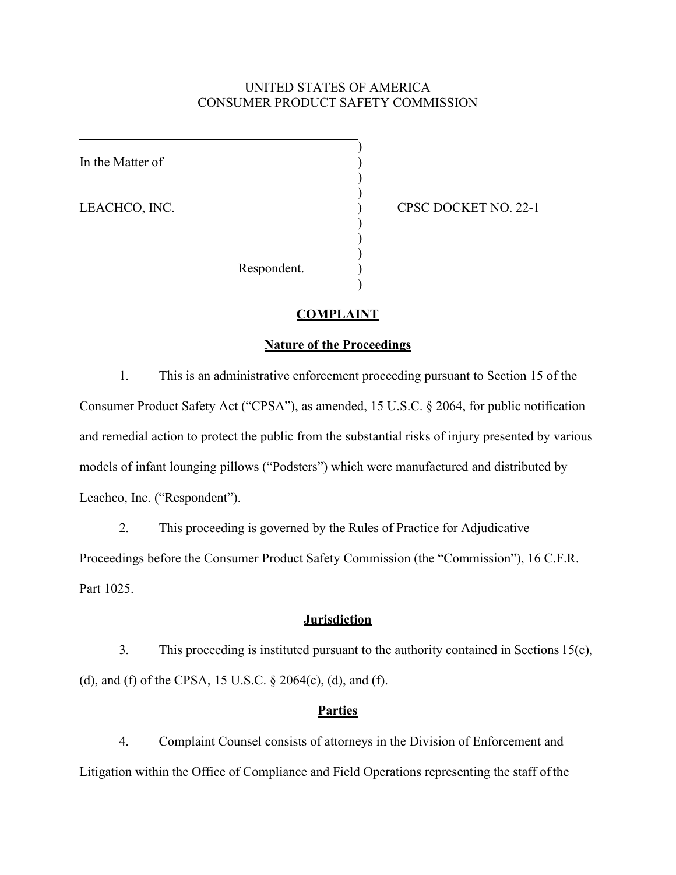## UNITED STATES OF AMERICA CONSUMER PRODUCT SAFETY COMMISSION

)

) )

) ) )

)

In the Matter of

LEACHCO, INC. (22-1) CPSC DOCKET NO. 22-1

Respondent.

#### **COMPLAINT**

#### **Nature of the Proceedings**

1. This is an administrative enforcement proceeding pursuant to Section 15 of the Consumer Product Safety Act ("CPSA"), as amended, 15 U.S.C. § 2064, for public notification and remedial action to protect the public from the substantial risks of injury presented by various models of infant lounging pillows ("Podsters") which were manufactured and distributed by Leachco, Inc. ("Respondent").

2. This proceeding is governed by the Rules of Practice for Adjudicative Proceedings before the Consumer Product Safety Commission (the "Commission"), 16 C.F.R. Part 1025.

# **Jurisdiction**

3. This proceeding is instituted pursuant to the authority contained in Sections 15(c), (d), and (f) of the CPSA, 15 U.S.C. § 2064(c), (d), and (f).

### **Parties**

4. Complaint Counsel consists of attorneys in the Division of Enforcement and Litigation within the Office of Compliance and Field Operations representing the staff of the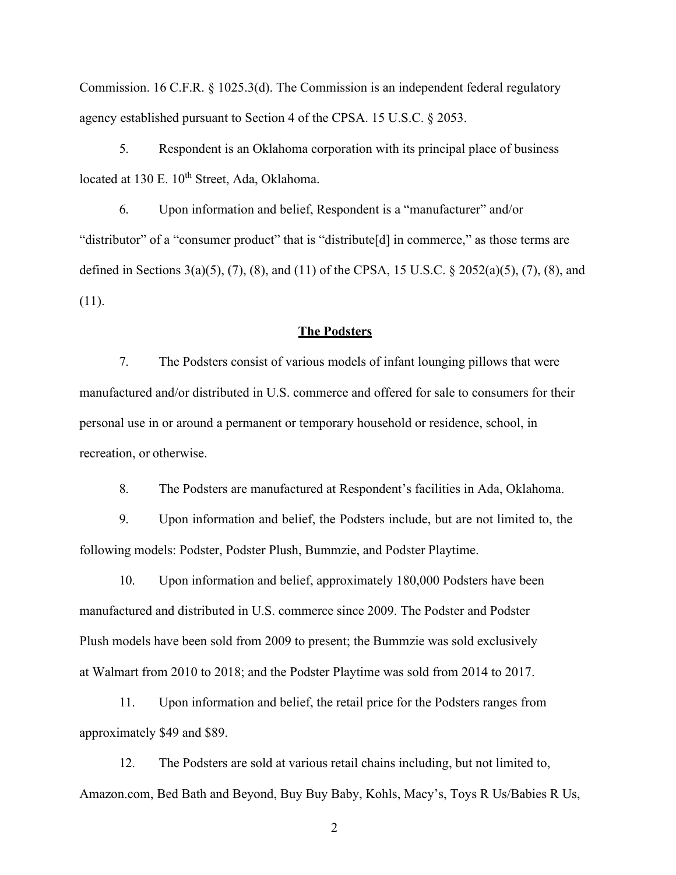Commission. 16 C.F.R. § 1025.3(d). The Commission is an independent federal regulatory agency established pursuant to Section 4 of the CPSA. 15 U.S.C. § 2053.

5. Respondent is an Oklahoma corporation with its principal place of business located at 130 E.  $10^{th}$  Street, Ada, Oklahoma.

6. Upon information and belief, Respondent is a "manufacturer" and/or "distributor" of a "consumer product" that is "distribute[d] in commerce," as those terms are defined in Sections 3(a)(5), (7), (8), and (11) of the CPSA, 15 U.S.C. § 2052(a)(5), (7), (8), and (11).

### **The Podsters**

7. The Podsters consist of various models of infant lounging pillows that were manufactured and/or distributed in U.S. commerce and offered for sale to consumers for their personal use in or around a permanent or temporary household or residence, school, in recreation, or otherwise.

8. The Podsters are manufactured at Respondent's facilities in Ada, Oklahoma.

9. Upon information and belief, the Podsters include, but are not limited to, the following models: Podster, Podster Plush, Bummzie, and Podster Playtime.

10. Upon information and belief, approximately 180,000 Podsters have been manufactured and distributed in U.S. commerce since 2009. The Podster and Podster Plush models have been sold from 2009 to present; the Bummzie was sold exclusively at Walmart from 2010 to 2018; and the Podster Playtime was sold from 2014 to 2017.

11. Upon information and belief, the retail price for the Podsters ranges from approximately \$49 and \$89.

12. The Podsters are sold at various retail chains including, but not limited to, Amazon.com, Bed Bath and Beyond, Buy Buy Baby, Kohls, Macy's, Toys R Us/Babies R Us,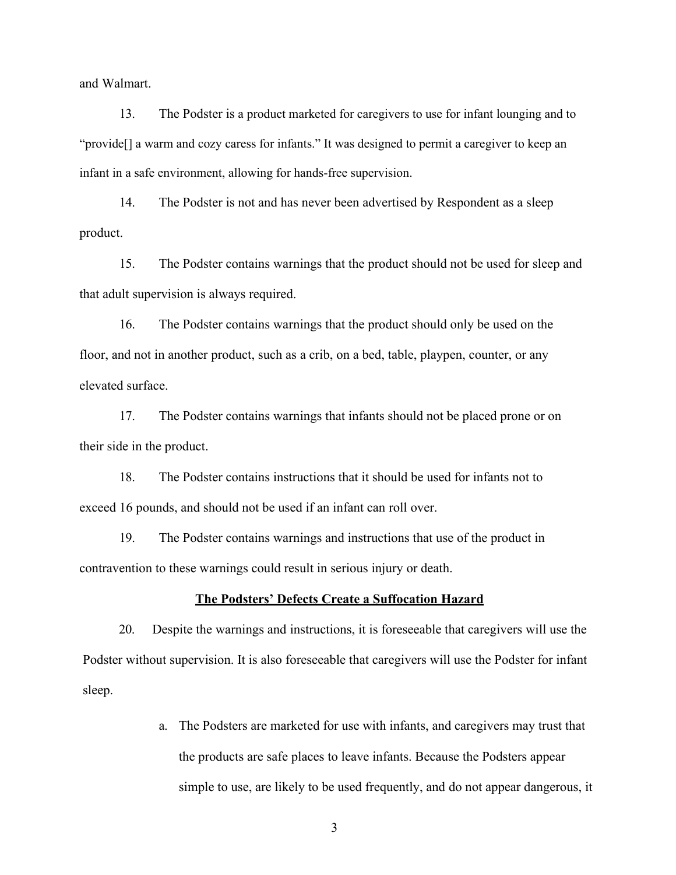and Walmart.

13. The Podster is a product marketed for caregivers to use for infant lounging and to "provide[] a warm and cozy caress for infants." It was designed to permit a caregiver to keep an infant in a safe environment, allowing for hands-free supervision.

14. The Podster is not and has never been advertised by Respondent as a sleep product.

15. The Podster contains warnings that the product should not be used for sleep and that adult supervision is always required.

16. The Podster contains warnings that the product should only be used on the floor, and not in another product, such as a crib, on a bed, table, playpen, counter, or any elevated surface.

17. The Podster contains warnings that infants should not be placed prone or on their side in the product.

18. The Podster contains instructions that it should be used for infants not to exceed 16 pounds, and should not be used if an infant can roll over.

19. The Podster contains warnings and instructions that use of the product in contravention to these warnings could result in serious injury or death.

## **The Podsters' Defects Create a Suffocation Hazard**

20. Despite the warnings and instructions, it is foreseeable that caregivers will use the Podster without supervision. It is also foreseeable that caregivers will use the Podster for infant sleep.

> a. The Podsters are marketed for use with infants, and caregivers may trust that the products are safe places to leave infants. Because the Podsters appear simple to use, are likely to be used frequently, and do not appear dangerous, it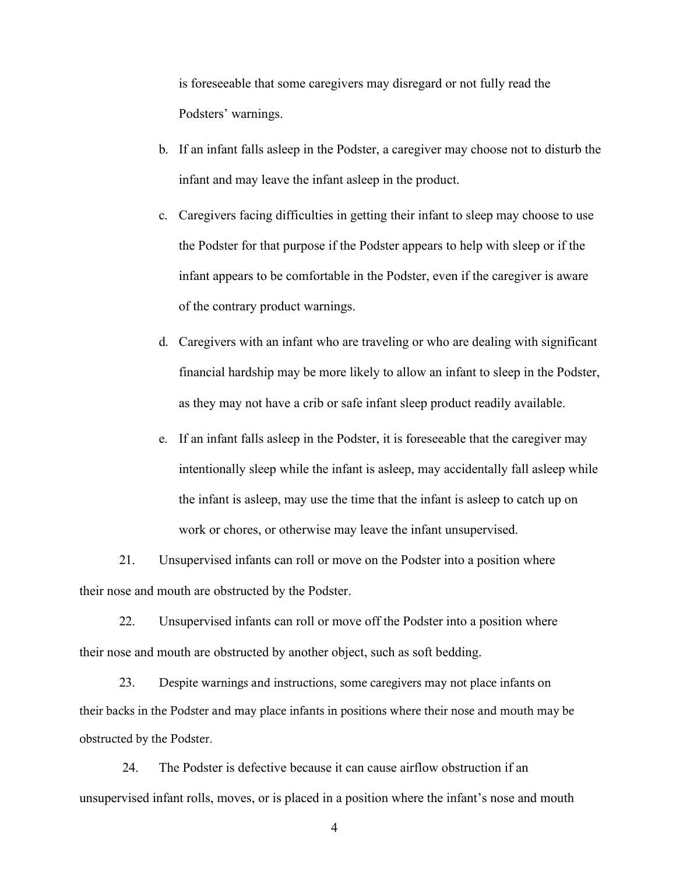is foreseeable that some caregivers may disregard or not fully read the Podsters' warnings.

- b. If an infant falls asleep in the Podster, a caregiver may choose not to disturb the infant and may leave the infant asleep in the product.
- c. Caregivers facing difficulties in getting their infant to sleep may choose to use the Podster for that purpose if the Podster appears to help with sleep or if the infant appears to be comfortable in the Podster, even if the caregiver is aware of the contrary product warnings.
- d. Caregivers with an infant who are traveling or who are dealing with significant financial hardship may be more likely to allow an infant to sleep in the Podster, as they may not have a crib or safe infant sleep product readily available.
- e. If an infant falls asleep in the Podster, it is foreseeable that the caregiver may intentionally sleep while the infant is asleep, may accidentally fall asleep while the infant is asleep, may use the time that the infant is asleep to catch up on work or chores, or otherwise may leave the infant unsupervised.

21. Unsupervised infants can roll or move on the Podster into a position where their nose and mouth are obstructed by the Podster.

22. Unsupervised infants can roll or move off the Podster into a position where their nose and mouth are obstructed by another object, such as soft bedding.

23. Despite warnings and instructions, some caregivers may not place infants on their backs in the Podster and may place infants in positions where their nose and mouth may be obstructed by the Podster.

24. The Podster is defective because it can cause airflow obstruction if an unsupervised infant rolls, moves, or is placed in a position where the infant's nose and mouth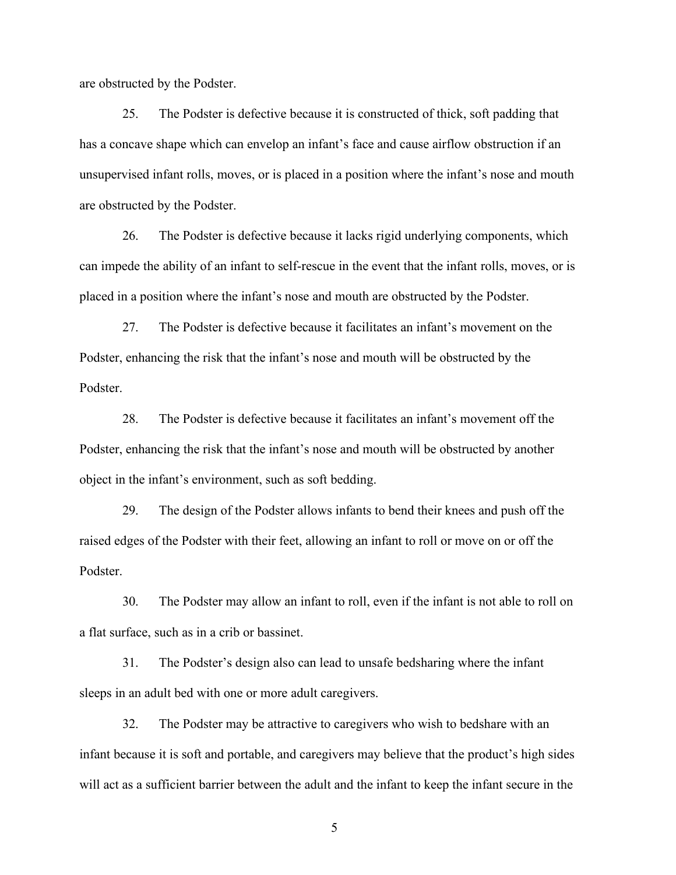are obstructed by the Podster.

25. The Podster is defective because it is constructed of thick, soft padding that has a concave shape which can envelop an infant's face and cause airflow obstruction if an unsupervised infant rolls, moves, or is placed in a position where the infant's nose and mouth are obstructed by the Podster.

26. The Podster is defective because it lacks rigid underlying components, which can impede the ability of an infant to self-rescue in the event that the infant rolls, moves, or is placed in a position where the infant's nose and mouth are obstructed by the Podster.

27. The Podster is defective because it facilitates an infant's movement on the Podster, enhancing the risk that the infant's nose and mouth will be obstructed by the Podster.

28. The Podster is defective because it facilitates an infant's movement off the Podster, enhancing the risk that the infant's nose and mouth will be obstructed by another object in the infant's environment, such as soft bedding.

29. The design of the Podster allows infants to bend their knees and push off the raised edges of the Podster with their feet, allowing an infant to roll or move on or off the Podster.

30. The Podster may allow an infant to roll, even if the infant is not able to roll on a flat surface, such as in a crib or bassinet.

31. The Podster's design also can lead to unsafe bedsharing where the infant sleeps in an adult bed with one or more adult caregivers.

32. The Podster may be attractive to caregivers who wish to bedshare with an infant because it is soft and portable, and caregivers may believe that the product's high sides will act as a sufficient barrier between the adult and the infant to keep the infant secure in the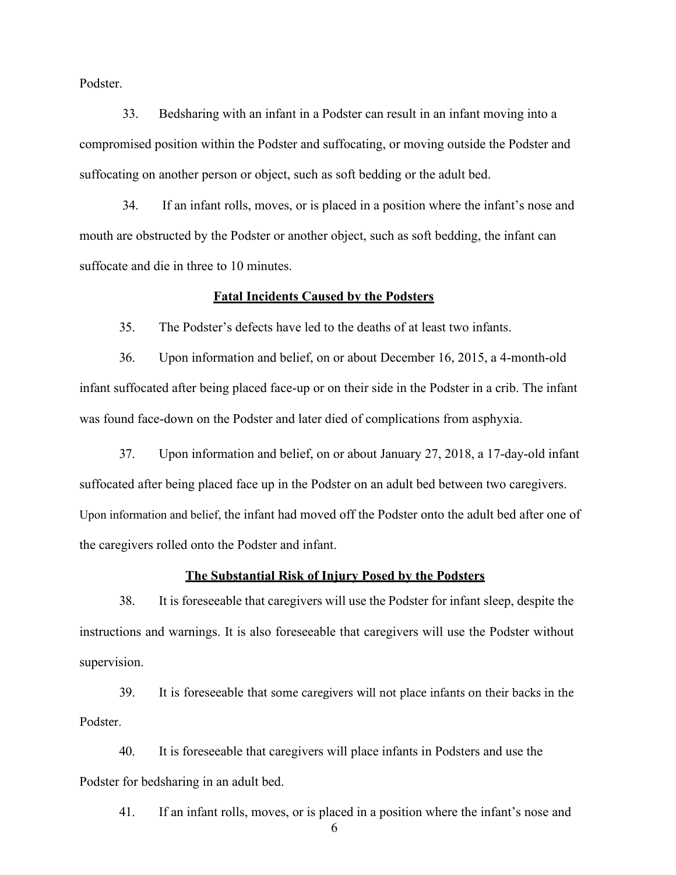Podster.

33. Bedsharing with an infant in a Podster can result in an infant moving into a compromised position within the Podster and suffocating, or moving outside the Podster and suffocating on another person or object, such as soft bedding or the adult bed.

34. If an infant rolls, moves, or is placed in a position where the infant's nose and mouth are obstructed by the Podster or another object, such as soft bedding, the infant can suffocate and die in three to 10 minutes.

#### **Fatal Incidents Caused by the Podsters**

35. The Podster's defects have led to the deaths of at least two infants.

36. Upon information and belief, on or about December 16, 2015, a 4-month-old infant suffocated after being placed face-up or on their side in the Podster in a crib. The infant was found face-down on the Podster and later died of complications from asphyxia.

37. Upon information and belief, on or about January 27, 2018, a 17-day-old infant suffocated after being placed face up in the Podster on an adult bed between two caregivers. Upon information and belief, the infant had moved off the Podster onto the adult bed after one of the caregivers rolled onto the Podster and infant.

### **The Substantial Risk of Injury Posed by the Podsters**

38. It is foreseeable that caregivers will use the Podster for infant sleep, despite the instructions and warnings. It is also foreseeable that caregivers will use the Podster without supervision.

39. It is foreseeable that some caregivers will not place infants on their backs in the Podster.

40. It is foreseeable that caregivers will place infants in Podsters and use the Podster for bedsharing in an adult bed.

41. If an infant rolls, moves, or is placed in a position where the infant's nose and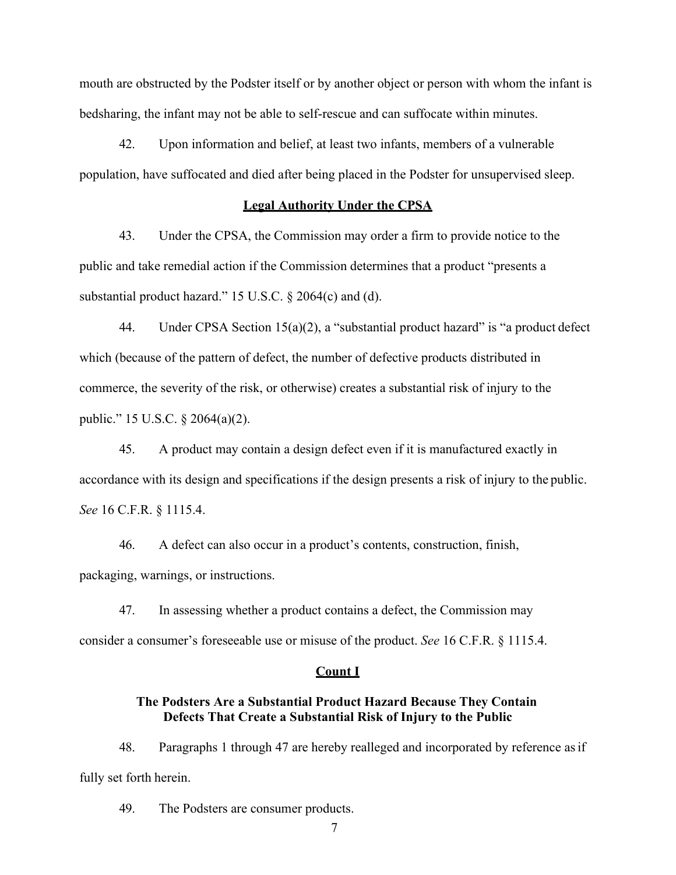mouth are obstructed by the Podster itself or by another object or person with whom the infant is bedsharing, the infant may not be able to self-rescue and can suffocate within minutes.

42. Upon information and belief, at least two infants, members of a vulnerable population, have suffocated and died after being placed in the Podster for unsupervised sleep.

## **Legal Authority Under the CPSA**

43. Under the CPSA, the Commission may order a firm to provide notice to the public and take remedial action if the Commission determines that a product "presents a substantial product hazard." 15 U.S.C. § 2064(c) and (d).

44. Under CPSA Section 15(a)(2), a "substantial product hazard" is "a product defect which (because of the pattern of defect, the number of defective products distributed in commerce, the severity of the risk, or otherwise) creates a substantial risk of injury to the public." 15 U.S.C. § 2064(a)(2).

45. A product may contain a design defect even if it is manufactured exactly in accordance with its design and specifications if the design presents a risk of injury to the public. *See* 16 C.F.R. § 1115.4.

46. A defect can also occur in a product's contents, construction, finish, packaging, warnings, or instructions.

47. In assessing whether a product contains a defect, the Commission may consider a consumer's foreseeable use or misuse of the product. *See* 16 C.F.R. § 1115.4.

#### **Count I**

# **The Podsters Are a Substantial Product Hazard Because They Contain Defects That Create a Substantial Risk of Injury to the Public**

48. Paragraphs 1 through 47 are hereby realleged and incorporated by reference asif fully set forth herein.

49. The Podsters are consumer products.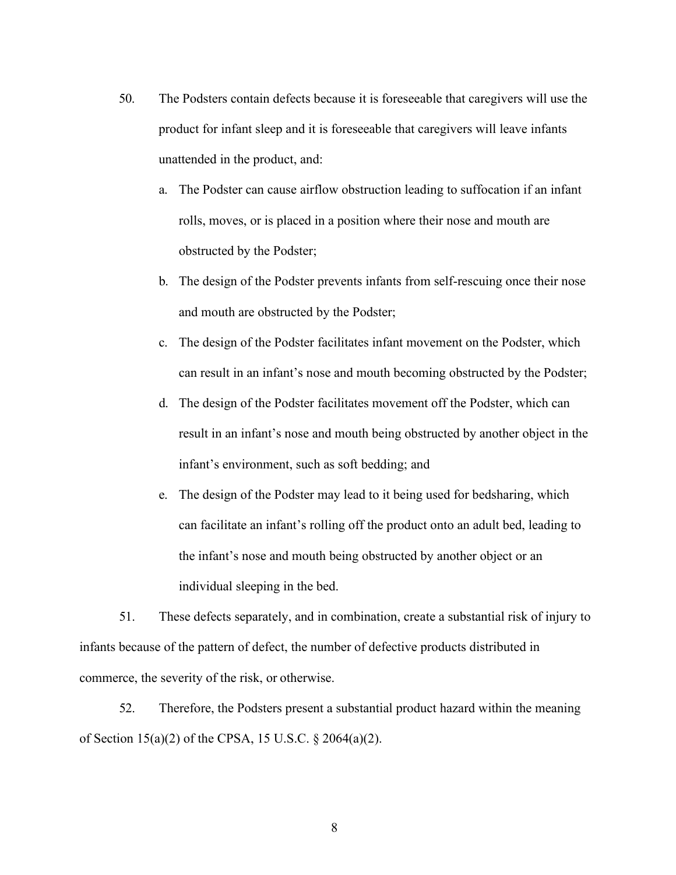- 50. The Podsters contain defects because it is foreseeable that caregivers will use the product for infant sleep and it is foreseeable that caregivers will leave infants unattended in the product, and:
	- a. The Podster can cause airflow obstruction leading to suffocation if an infant rolls, moves, or is placed in a position where their nose and mouth are obstructed by the Podster;
	- b. The design of the Podster prevents infants from self-rescuing once their nose and mouth are obstructed by the Podster;
	- c. The design of the Podster facilitates infant movement on the Podster, which can result in an infant's nose and mouth becoming obstructed by the Podster;
	- d. The design of the Podster facilitates movement off the Podster, which can result in an infant's nose and mouth being obstructed by another object in the infant's environment, such as soft bedding; and
	- e. The design of the Podster may lead to it being used for bedsharing, which can facilitate an infant's rolling off the product onto an adult bed, leading to the infant's nose and mouth being obstructed by another object or an individual sleeping in the bed.

51. These defects separately, and in combination, create a substantial risk of injury to infants because of the pattern of defect, the number of defective products distributed in commerce, the severity of the risk, or otherwise.

52. Therefore, the Podsters present a substantial product hazard within the meaning of Section 15(a)(2) of the CPSA, 15 U.S.C. § 2064(a)(2).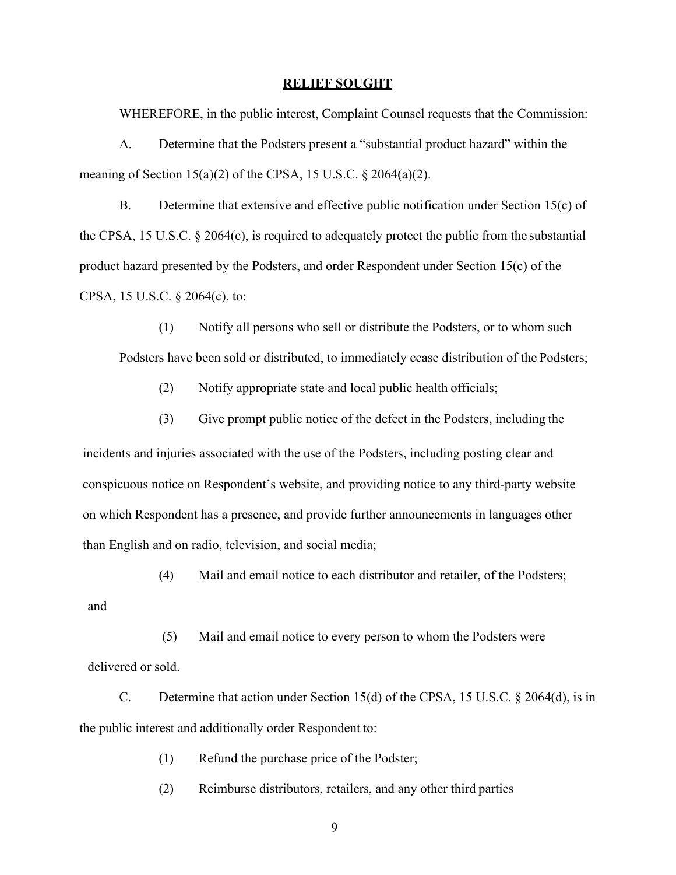#### **RELIEF SOUGHT**

WHEREFORE, in the public interest, Complaint Counsel requests that the Commission:

A. Determine that the Podsters present a "substantial product hazard" within the meaning of Section 15(a)(2) of the CPSA, 15 U.S.C.  $\S 2064(a)(2)$ .

B. Determine that extensive and effective public notification under Section 15(c) of the CPSA, 15 U.S.C. § 2064(c), is required to adequately protect the public from the substantial product hazard presented by the Podsters, and order Respondent under Section 15(c) of the CPSA, 15 U.S.C. § 2064(c), to:

(1) Notify all persons who sell or distribute the Podsters, or to whom such Podsters have been sold or distributed, to immediately cease distribution of the Podsters;

- (2) Notify appropriate state and local public health officials;
- (3) Give prompt public notice of the defect in the Podsters, including the

incidents and injuries associated with the use of the Podsters, including posting clear and conspicuous notice on Respondent's website, and providing notice to any third-party website on which Respondent has a presence, and provide further announcements in languages other than English and on radio, television, and social media;

(4) Mail and email notice to each distributor and retailer, of the Podsters;

and

(5) Mail and email notice to every person to whom the Podsters were delivered or sold.

C. Determine that action under Section 15(d) of the CPSA, 15 U.S.C. § 2064(d), is in the public interest and additionally order Respondent to:

(1) Refund the purchase price of the Podster;

(2) Reimburse distributors, retailers, and any other third parties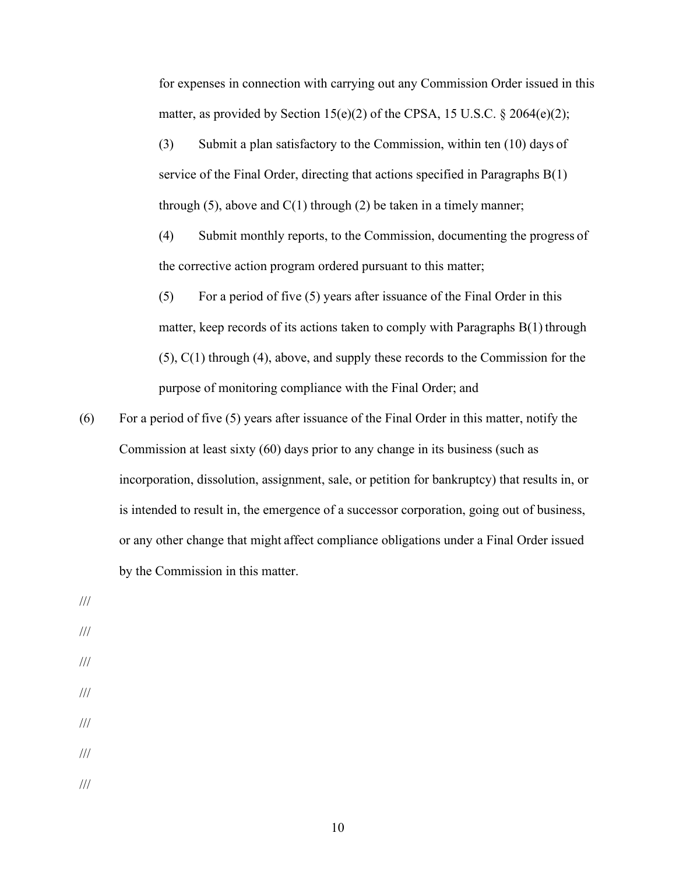for expenses in connection with carrying out any Commission Order issued in this matter, as provided by Section 15(e)(2) of the CPSA, 15 U.S.C.  $\S$  2064(e)(2);

(3) Submit a plan satisfactory to the Commission, within ten (10) days of service of the Final Order, directing that actions specified in Paragraphs B(1) through  $(5)$ , above and  $C(1)$  through  $(2)$  be taken in a timely manner;

(4) Submit monthly reports, to the Commission, documenting the progress of the corrective action program ordered pursuant to this matter;

 $(5)$  For a period of five  $(5)$  years after issuance of the Final Order in this matter, keep records of its actions taken to comply with Paragraphs B(1) through (5), C(1) through (4), above, and supply these records to the Commission for the purpose of monitoring compliance with the Final Order; and

- (6) For a period of five  $(5)$  years after issuance of the Final Order in this matter, notify the Commission at least sixty (60) days prior to any change in its business (such as incorporation, dissolution, assignment, sale, or petition for bankruptcy) that results in, or is intended to result in, the emergence of a successor corporation, going out of business, or any other change that might affect compliance obligations under a Final Order issued by the Commission in this matter.
- /// /// /// /// /// /// ///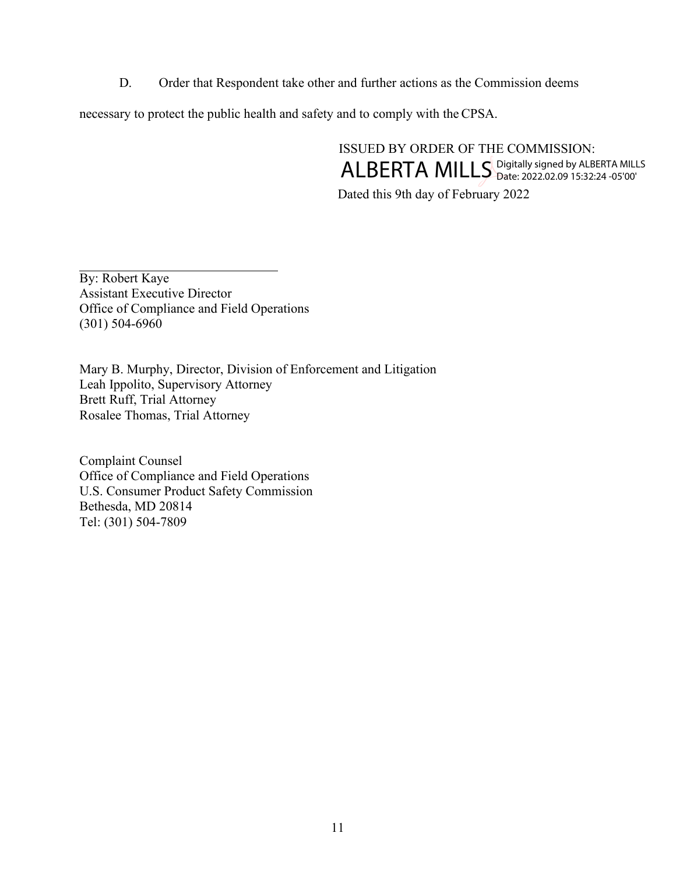D. Order that Respondent take other and further actions as the Commission deems

necessary to protect the public health and safety and to comply with the CPSA.

ISSUED BY ORDER OF THE COMMISSION: Dated this 9th day of February 2022 ALBERTA MILLS Digitally signed by ALBERTA MILLS

By: Robert Kaye Assistant Executive Director Office of Compliance and Field Operations (301) 504-6960

Mary B. Murphy, Director, Division of Enforcement and Litigation Leah Ippolito, Supervisory Attorney Brett Ruff, Trial Attorney Rosalee Thomas, Trial Attorney

Complaint Counsel Office of Compliance and Field Operations U.S. Consumer Product Safety Commission Bethesda, MD 20814 Tel: (301) 504-7809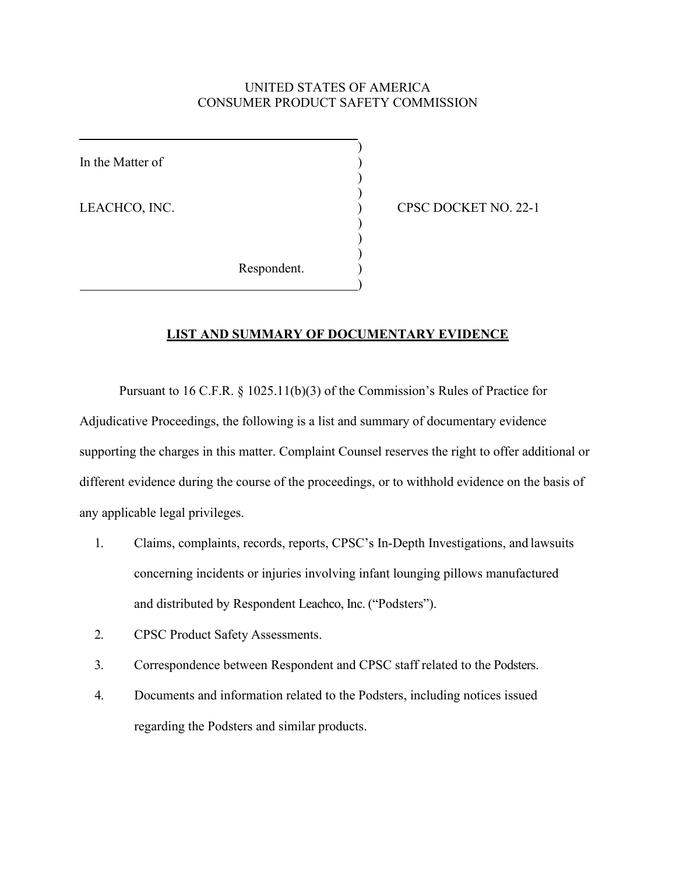## UNITED STATES OF AMERICA CONSUMER PRODUCT SAFETY COMMISSION

)

) )

) ) )

)

In the Matter of

LEACHCO, INC. (22-1) CPSC DOCKET NO. 22-1

Respondent.

# **LIST AND SUMMARY OF DOCUMENTARY EVIDENCE**

Pursuant to 16 C.F.R. § 1025.11(b)(3) of the Commission's Rules of Practice for Adjudicative Proceedings, the following is a list and summary of documentary evidence supporting the charges in this matter. Complaint Counsel reserves the right to offer additional or different evidence during the course of the proceedings, or to withhold evidence on the basis of any applicable legal privileges.

- 1. Claims, complaints, records, reports, CPSC's In-Depth Investigations, and lawsuits concerning incidents or injuries involving infant lounging pillows manufactured and distributed by Respondent Leachco, Inc. ("Podsters").
- 2. CPSC Product Safety Assessments.
- 3. Correspondence between Respondent and CPSC staff related to the Podsters.
- 4. Documents and information related to the Podsters, including notices issued regarding the Podsters and similar products.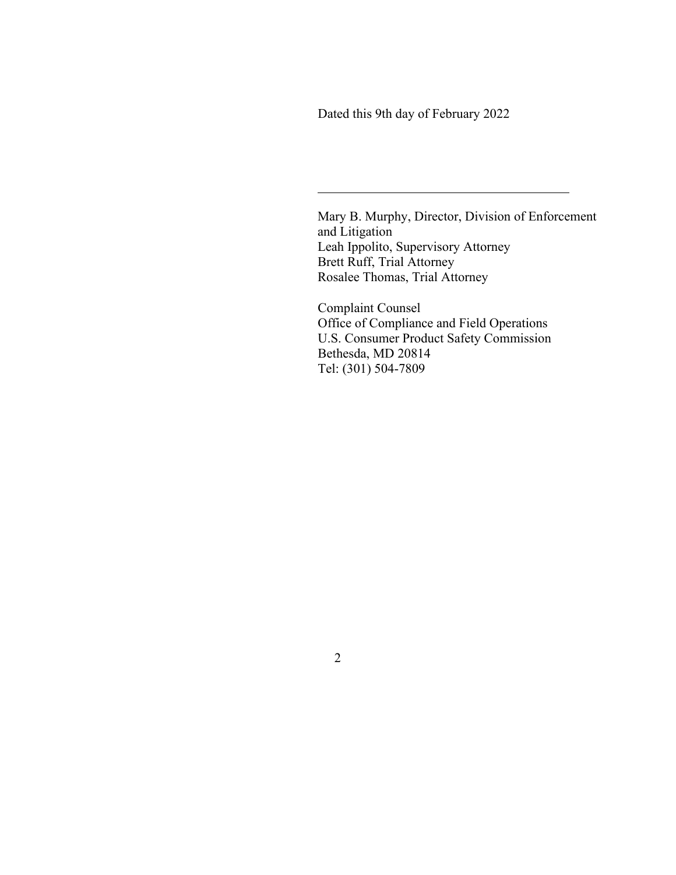Dated this 9th day of February 2022

Mary B. Murphy, Director, Division of Enforcement and Litigation Leah Ippolito, Supervisory Attorney Brett Ruff, Trial Attorney Rosalee Thomas, Trial Attorney

Complaint Counsel Office of Compliance and Field Operations U.S. Consumer Product Safety Commission Bethesda, MD 20814 Tel: (301) 504-7809